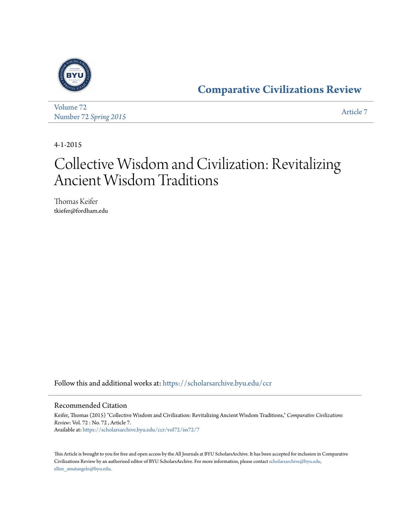

[Volume 72](https://scholarsarchive.byu.edu/ccr/vol72?utm_source=scholarsarchive.byu.edu%2Fccr%2Fvol72%2Fiss72%2F7&utm_medium=PDF&utm_campaign=PDFCoverPages) Number 72 *[Spring 2015](https://scholarsarchive.byu.edu/ccr/vol72/iss72?utm_source=scholarsarchive.byu.edu%2Fccr%2Fvol72%2Fiss72%2F7&utm_medium=PDF&utm_campaign=PDFCoverPages)* [Article 7](https://scholarsarchive.byu.edu/ccr/vol72/iss72/7?utm_source=scholarsarchive.byu.edu%2Fccr%2Fvol72%2Fiss72%2F7&utm_medium=PDF&utm_campaign=PDFCoverPages)

4-1-2015

# Collective Wisdom and Civilization: Revitalizing Ancient Wisdom Traditions

Thomas Keifer tkiefer@fordham.edu

Follow this and additional works at: [https://scholarsarchive.byu.edu/ccr](https://scholarsarchive.byu.edu/ccr?utm_source=scholarsarchive.byu.edu%2Fccr%2Fvol72%2Fiss72%2F7&utm_medium=PDF&utm_campaign=PDFCoverPages)

#### Recommended Citation

Keifer, Thomas (2015) "Collective Wisdom and Civilization: Revitalizing Ancient Wisdom Traditions," *Comparative Civilizations Review*: Vol. 72 : No. 72 , Article 7. Available at: [https://scholarsarchive.byu.edu/ccr/vol72/iss72/7](https://scholarsarchive.byu.edu/ccr/vol72/iss72/7?utm_source=scholarsarchive.byu.edu%2Fccr%2Fvol72%2Fiss72%2F7&utm_medium=PDF&utm_campaign=PDFCoverPages)

This Article is brought to you for free and open access by the All Journals at BYU ScholarsArchive. It has been accepted for inclusion in Comparative Civilizations Review by an authorized editor of BYU ScholarsArchive. For more information, please contact [scholarsarchive@byu.edu,](mailto:scholarsarchive@byu.edu,%20ellen_amatangelo@byu.edu) [ellen\\_amatangelo@byu.edu.](mailto:scholarsarchive@byu.edu,%20ellen_amatangelo@byu.edu)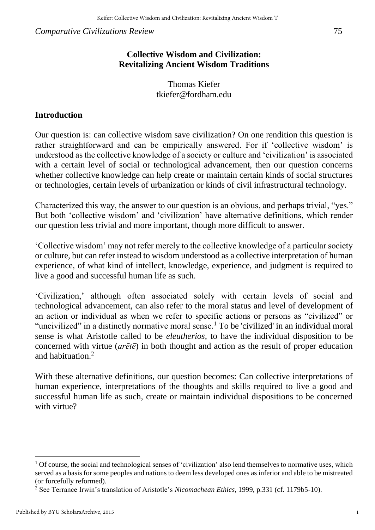## **Collective Wisdom and Civilization: Revitalizing Ancient Wisdom Traditions**

Thomas Kiefer tkiefer@fordham.edu

## **Introduction**

Our question is: can collective wisdom save civilization? On one rendition this question is rather straightforward and can be empirically answered. For if 'collective wisdom' is understood as the collective knowledge of a society or culture and 'civilization' is associated with a certain level of social or technological advancement, then our question concerns whether collective knowledge can help create or maintain certain kinds of social structures or technologies, certain levels of urbanization or kinds of civil infrastructural technology.

Characterized this way, the answer to our question is an obvious, and perhaps trivial, "yes." But both 'collective wisdom' and 'civilization' have alternative definitions, which render our question less trivial and more important, though more difficult to answer.

'Collective wisdom' may not refer merely to the collective knowledge of a particular society or culture, but can refer instead to wisdom understood as a collective interpretation of human experience, of what kind of intellect, knowledge, experience, and judgment is required to live a good and successful human life as such.

'Civilization,' although often associated solely with certain levels of social and technological advancement, can also refer to the moral status and level of development of an action or individual as when we refer to specific actions or persons as "civilized" or "uncivilized" in a distinctly normative moral sense.<sup>1</sup> To be 'civilized' in an individual moral sense is what Aristotle called to be *eleutherios,* to have the individual disposition to be concerned with virtue (*arētē*) in both thought and action as the result of proper education and habituation<sup>2</sup>

With these alternative definitions, our question becomes: Can collective interpretations of human experience, interpretations of the thoughts and skills required to live a good and successful human life as such, create or maintain individual dispositions to be concerned with virtue?

 $1$  Of course, the social and technological senses of 'civilization' also lend themselves to normative uses, which served as a basis for some peoples and nations to deem less developed ones as inferior and able to be mistreated (or forcefully reformed).

<sup>2</sup> See Terrance Irwin's translation of Aristotle's *Nicomachean Ethics*, 1999, p.331 (cf. 1179b5-10).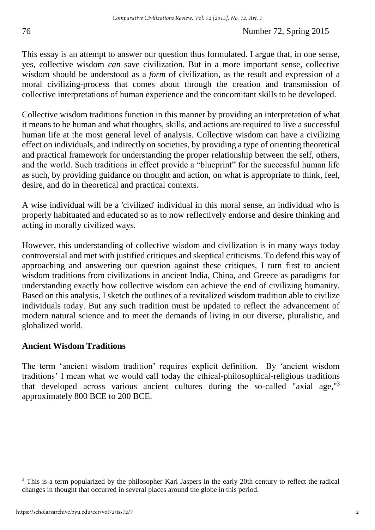This essay is an attempt to answer our question thus formulated. I argue that, in one sense, yes, collective wisdom *can* save civilization. But in a more important sense, collective wisdom should be understood as a *form* of civilization, as the result and expression of a moral civilizing-process that comes about through the creation and transmission of collective interpretations of human experience and the concomitant skills to be developed.

Collective wisdom traditions function in this manner by providing an interpretation of what it means to be human and what thoughts, skills, and actions are required to live a successful human life at the most general level of analysis. Collective wisdom can have a civilizing effect on individuals, and indirectly on societies, by providing a type of orienting theoretical and practical framework for understanding the proper relationship between the self, others, and the world. Such traditions in effect provide a "blueprint" for the successful human life as such, by providing guidance on thought and action, on what is appropriate to think, feel, desire, and do in theoretical and practical contexts.

A wise individual will be a 'civilized' individual in this moral sense, an individual who is properly habituated and educated so as to now reflectively endorse and desire thinking and acting in morally civilized ways.

However, this understanding of collective wisdom and civilization is in many ways today controversial and met with justified critiques and skeptical criticisms. To defend this way of approaching and answering our question against these critiques, I turn first to ancient wisdom traditions from civilizations in ancient India, China, and Greece as paradigms for understanding exactly how collective wisdom can achieve the end of civilizing humanity. Based on this analysis, I sketch the outlines of a revitalized wisdom tradition able to civilize individuals today. But any such tradition must be updated to reflect the advancement of modern natural science and to meet the demands of living in our diverse, pluralistic, and globalized world.

## **Ancient Wisdom Traditions**

The term 'ancient wisdom tradition' requires explicit definition. By 'ancient wisdom traditions' I mean what we would call today the ethical-philosophical-religious traditions that developed across various ancient cultures during the so-called "axial age,"<sup>3</sup> approximately 800 BCE to 200 BCE.

 $\overline{a}$ 3 This is a term popularized by the philosopher Karl Jaspers in the early 20th century to reflect the radical changes in thought that occurred in several places around the globe in this period.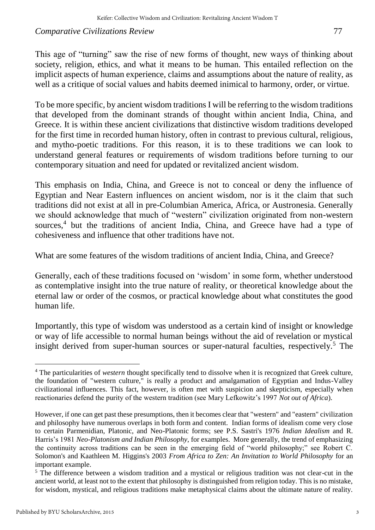This age of "turning" saw the rise of new forms of thought, new ways of thinking about society, religion, ethics, and what it means to be human. This entailed reflection on the implicit aspects of human experience, claims and assumptions about the nature of reality, as well as a critique of social values and habits deemed inimical to harmony, order, or virtue.

To be more specific, by ancient wisdom traditions I will be referring to the wisdom traditions that developed from the dominant strands of thought within ancient India, China, and Greece. It is within these ancient civilizations that distinctive wisdom traditions developed for the first time in recorded human history, often in contrast to previous cultural, religious, and mytho-poetic traditions. For this reason, it is to these traditions we can look to understand general features or requirements of wisdom traditions before turning to our contemporary situation and need for updated or revitalized ancient wisdom.

This emphasis on India, China, and Greece is not to conceal or deny the influence of Egyptian and Near Eastern influences on ancient wisdom, nor is it the claim that such traditions did not exist at all in pre-Columbian America, Africa, or Austronesia. Generally we should acknowledge that much of "western" civilization originated from non-western sources,<sup>4</sup> but the traditions of ancient India, China, and Greece have had a type of cohesiveness and influence that other traditions have not.

What are some features of the wisdom traditions of ancient India, China, and Greece?

Generally, each of these traditions focused on 'wisdom' in some form, whether understood as contemplative insight into the true nature of reality, or theoretical knowledge about the eternal law or order of the cosmos, or practical knowledge about what constitutes the good human life.

Importantly, this type of wisdom was understood as a certain kind of insight or knowledge or way of life accessible to normal human beings without the aid of revelation or mystical insight derived from super-human sources or super-natural faculties, respectively.<sup>5</sup> The

 $\overline{a}$ 4 The particularities of *western* thought specifically tend to dissolve when it is recognized that Greek culture, the foundation of "western culture," is really a product and amalgamation of Egyptian and Indus-Valley civilizational influences. This fact, however, is often met with suspicion and skepticism, especially when reactionaries defend the purity of the western tradition (see Mary Lefkowitz's 1997 *Not out of Africa*).

However, if one can get past these presumptions, then it becomes clear that "western" and "eastern" civilization and philosophy have numerous overlaps in both form and content. Indian forms of idealism come very close to certain Parmenidian, Platonic, and Neo-Platonic forms; see P.S. Sastri's 1976 *Indian Idealism* and R. Harris's 1981 *Neo-Platonism and Indian Philosophy,* for examples. More generally, the trend of emphasizing the continuity across traditions can be seen in the emerging field of "world philosophy;" see Robert C. Solomon's and Kaathleen M. Higgins's 2003 *From Africa to Zen: An Invitation to World Philosophy* for an important example.

<sup>&</sup>lt;sup>5</sup> The difference between a wisdom tradition and a mystical or religious tradition was not clear-cut in the ancient world, at least not to the extent that philosophy is distinguished from religion today. This is no mistake, for wisdom, mystical, and religious traditions make metaphysical claims about the ultimate nature of reality.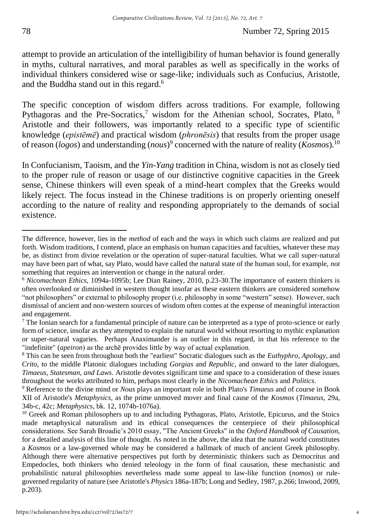attempt to provide an articulation of the intelligibility of human behavior is found generally in myths, cultural narratives, and moral parables as well as specifically in the works of individual thinkers considered wise or sage-like; individuals such as Confucius, Aristotle, and the Buddha stand out in this regard.<sup>6</sup>

The specific conception of wisdom differs across traditions. For example, following Pythagoras and the Pre-Socratics,<sup>7</sup> wisdom for the Athenian school, Socrates, Plato,  $8$ Aristotle and their followers, was importantly related to a specific type of scientific knowledge (*epistēmē*) and practical wisdom (*phronēsis*) that results from the proper usage of reason (*logos*) and understanding (*nous*) 9 concerned with the nature of reality (*Kosmos*).<sup>10</sup>

In Confucianism, Taoism, and the *Yin*-*Yang* tradition in China, wisdom is not as closely tied to the proper rule of reason or usage of our distinctive cognitive capacities in the Greek sense, Chinese thinkers will even speak of a mind-heart complex that the Greeks would likely reject. The focus instead in the Chinese traditions is on properly orienting oneself according to the nature of reality and responding appropriately to the demands of social existence.

The difference, however, lies in the *method* of each and the ways in which such claims are realized and put forth. Wisdom traditions, I contend, place an emphasis on human capacities and faculties, whatever these may be, as distinct from divine revelation or the operation of super-natural faculties. What we call super-natural may have been part of what, say Plato, would have called the natural state of the human soul, for example, *not* something that requires an intervention or change in the natural order.

<sup>6</sup> *Nicomachean Ethics,* 1094a-1095b; Lee Dian Rainey, 2010, p.23-30.The importance of eastern thinkers is often overlooked or diminished in western thought insofar as these eastern thinkers are considered somehow "not philosophers" or external to philosophy proper (i.e. philosophy in some "western" sense). However, such dismissal of ancient and non-western sources of wisdom often comes at the expense of meaningful interaction and engagement.

 $7$  The Ionian search for a fundamental principle of nature can be interpreted as a type of proto-science or early form of science, insofar as they attempted to explain the natural world without resorting to mythic explanation or super-natural vagaries. Perhaps Anaximander is an outlier in this regard, in that his reference to the "indefinite" (*apeiron*) as the archē provides little by way of actual explanation.

<sup>8</sup> This can be seen from throughout both the "earliest" Socratic dialogues such as the *Euthyphro, Apology,* and *Crito*, to the middle Platonic dialogues including *Gorgias* and *Republic,* and onward to the later dialogues, *Timaeus, Statesman, and Laws*. Aristotle devotes significant time and space to a consideration of these issues throughout the works attributed to him, perhaps most clearly in the *Nicomachean Ethics* and *Politics*.

<sup>9</sup> Reference to the divine mind or *Nous* plays an important role in both Plato's *Timaeus* and of course in Book XII of Aristotle's *Metaphysics,* as the prime unmoved mover and final cause of the *Kosmos* (*Timaeus,* 29a, 34b-c, 42c; *Metaphysics,* bk. 12, 1074b-1076a).

<sup>&</sup>lt;sup>10</sup> Greek and Roman philosophers up to and including Pythagoras, Plato, Aristotle, Epicurus, and the Stoics made metaphysical naturalism and its ethical consequences the centerpiece of their philosophical considerations. See Sarah Broadie's 2010 essay, "The Ancient Greeks" in the *Oxford Handbook of Causation,*  for a detailed analysis of this line of thought. As noted in the above, the idea that the natural world constitutes a *Kosmos* or a law-governed whole may be considered a hallmark of much of ancient Greek philosophy. Although there were alternative perspectives put forth by deterministic thinkers such as Democritus and Empedocles, both thinkers who denied teleology in the form of final causation, these mechanistic and probabilistic natural philosophies nevertheless made some appeal to law-like function (*nomos*) or rulegoverned regularity of nature (see Aristotle's *Physics* 186a-187b; Long and Sedley, 1987, p.266; Inwood, 2009, p.203).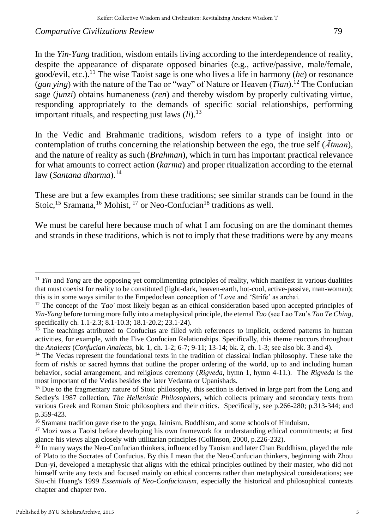In the *Yin*-*Yang* tradition, wisdom entails living according to the interdependence of reality, despite the appearance of disparate opposed binaries (e.g., active/passive, male/female, good/evil, etc.).<sup>11</sup> The wise Taoist sage is one who lives a life in harmony (*he*) or resonance (*gan ying*) with the nature of the Tao or "way" of Nature or Heaven (*Tian*).<sup>12</sup> The Confucian sage (*junzi*) obtains humaneness (*ren*) and thereby wisdom by properly cultivating virtue, responding appropriately to the demands of specific social relationships, performing important rituals, and respecting just laws  $(ii)$ .<sup>13</sup>

In the Vedic and Brahmanic traditions, wisdom refers to a type of insight into or contemplation of truths concerning the relationship between the ego, the true self (*Ātman*), and the nature of reality as such (*Brahman*), which in turn has important practical relevance for what amounts to correct action (*karma*) and proper ritualization according to the eternal law (*Santana dharma*).<sup>14</sup>

These are but a few examples from these traditions; see similar strands can be found in the Stoic,<sup>15</sup> Sramana,<sup>16</sup> Mohist, <sup>17</sup> or Neo-Confucian<sup>18</sup> traditions as well.

We must be careful here because much of what I am focusing on are the dominant themes and strands in these traditions, which is not to imply that these traditions were by any means

<sup>&</sup>lt;sup>11</sup> *Yin* and *Yang* are the opposing yet complimenting principles of reality, which manifest in various dualities that must coexist for reality to be constituted (light-dark, heaven-earth, hot-cool, active-passive, man-woman); this is in some ways similar to the Empedoclean conception of 'Love and 'Strife' as archai.

<sup>&</sup>lt;sup>12</sup> The concept of the *'Tao'* most likely began as an ethical consideration based upon accepted principles of *Yin*-*Yang* before turning more fully into a metaphysical principle, the eternal *Tao* (see Lao Tzu's *Tao Te Ching*, specifically ch. 1.1-2.3; 8.1-10.3; 18.1-20.2; 23.1-24).

<sup>&</sup>lt;sup>13</sup> The teachings attributed to Confucius are filled with references to implicit, ordered patterns in human activities, for example, with the Five Confucian Relationships. Specifically, this theme reoccurs throughout the *Analects* (*Confucian Analects*, bk. 1, ch. 1-2; 6-7; 9-11; 13-14; bk. 2, ch. 1-3; see also bk. 3 and 4).

<sup>&</sup>lt;sup>14</sup> The Vedas represent the foundational texts in the tradition of classical Indian philosophy. These take the form of *rishi*s or sacred hymns that outline the proper ordering of the world, up to and including human behavior, social arrangement, and religious ceremony (*Rigveda,* hymn 1, hymn 4-11.). The *Rigveda* is the most important of the Vedas besides the later Vedanta or Upanishads.

<sup>&</sup>lt;sup>15</sup> Due to the fragmentary nature of Stoic philosophy, this section is derived in large part from the Long and Sedley's 1987 collection, *The Hellenistic Philosophers*, which collects primary and secondary texts from various Greek and Roman Stoic philosophers and their critics. Specifically, see p.266-280; p.313-344; and p.359-423.

<sup>16</sup> Sramana tradition gave rise to the yoga, Jainism, Buddhism, and some schools of Hinduism.

<sup>&</sup>lt;sup>17</sup> Mozi was a Taoist before developing his own framework for understanding ethical commitments; at first glance his views align closely with utilitarian principles (Collinson, 2000, p.226-232).

<sup>&</sup>lt;sup>18</sup> In many ways the Neo-Confucian thinkers, influenced by Taoism and later Chan Buddhism, played the role of Plato to the Socrates of Confucius. By this I mean that the Neo-Confucian thinkers, beginning with Zhou Dun-yi, developed a metaphysic that aligns with the ethical principles outlined by their master, who did not himself write any texts and focused mainly on ethical concerns rather than metaphysical considerations; see Siu-chi Huang's 1999 *Essentials of Neo-Confucianism,* especially the historical and philosophical contexts chapter and chapter two.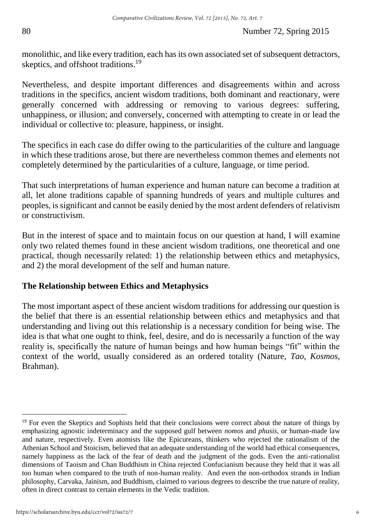monolithic, and like every tradition, each has its own associated set of subsequent detractors, skeptics, and offshoot traditions.<sup>19</sup>

Nevertheless, and despite important differences and disagreements within and across traditions in the specifics, ancient wisdom traditions, both dominant and reactionary, were generally concerned with addressing or removing to various degrees: suffering, unhappiness, or illusion; and conversely, concerned with attempting to create in or lead the individual or collective to: pleasure, happiness, or insight.

The specifics in each case do differ owing to the particularities of the culture and language in which these traditions arose, but there are nevertheless common themes and elements not completely determined by the particularities of a culture, language, or time period.

That such interpretations of human experience and human nature can become a tradition at all, let alone traditions capable of spanning hundreds of years and multiple cultures and peoples, is significant and cannot be easily denied by the most ardent defenders of relativism or constructivism.

But in the interest of space and to maintain focus on our question at hand, I will examine only two related themes found in these ancient wisdom traditions, one theoretical and one practical, though necessarily related: 1) the relationship between ethics and metaphysics, and 2) the moral development of the self and human nature.

# **The Relationship between Ethics and Metaphysics**

The most important aspect of these ancient wisdom traditions for addressing our question is the belief that there is an essential relationship between ethics and metaphysics and that understanding and living out this relationship is a necessary condition for being wise. The idea is that what one ought to think, feel, desire, and do is necessarily a function of the way reality is, specifically the nature of human beings and how human beings "fit" within the context of the world, usually considered as an ordered totality (Nature, *Tao, Kosmos*, Brahman).

<sup>&</sup>lt;sup>19</sup> For even the Skeptics and Sophists held that their conclusions were correct about the nature of things by emphasizing agnostic indeterminacy and the supposed gulf between *nomos* and *phusis*, or human-made law and nature, respectively. Even atomists like the Epicureans, thinkers who rejected the rationalism of the Athenian School and Stoicism, believed that an adequate understanding of the world had ethical consequences, namely happiness as the lack of the fear of death and the judgment of the gods. Even the anti-rationalist dimensions of Taoism and Chan Buddhism in China rejected Confucianism because they held that it was all too human when compared to the truth of non-human reality. And even the non-orthodox strands in Indian philosophy, Carvaka, Jainism, and Buddhism, claimed to various degrees to describe the true nature of reality, often in direct contrast to certain elements in the Vedic tradition.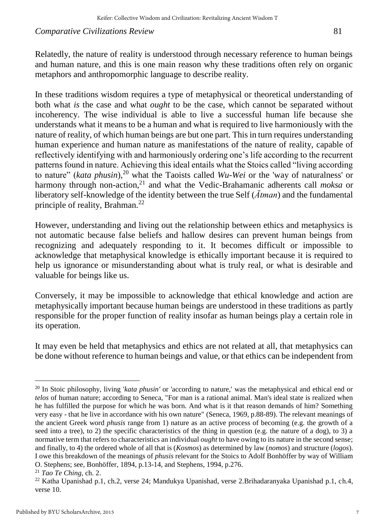Relatedly, the nature of reality is understood through necessary reference to human beings and human nature, and this is one main reason why these traditions often rely on organic metaphors and anthropomorphic language to describe reality.

In these traditions wisdom requires a type of metaphysical or theoretical understanding of both what *is* the case and what *ought* to be the case, which cannot be separated without incoherency. The wise individual is able to live a successful human life because she understands what it means to be a human and what is required to live harmoniously with the nature of reality, of which human beings are but one part. This in turn requires understanding human experience and human nature as manifestations of the nature of reality, capable of reflectively identifying with and harmoniously ordering one's life according to the recurrent patterns found in nature. Achieving this ideal entails what the Stoics called "living according to nature" (*kata phusin*),<sup>20</sup> what the Taoists called *Wu-Wei* or the 'way of naturalness' or harmony through non-action,<sup>21</sup> and what the Vedic-Brahamanic adherents call *moksa* or liberatory self-knowledge of the identity between the true Self (*Ātman*) and the fundamental principle of reality, Brahman.<sup>22</sup>

However, understanding and living out the relationship between ethics and metaphysics is not automatic because false beliefs and hallow desires can prevent human beings from recognizing and adequately responding to it. It becomes difficult or impossible to acknowledge that metaphysical knowledge is ethically important because it is required to help us ignorance or misunderstanding about what is truly real, or what is desirable and valuable for beings like us.

Conversely, it may be impossible to acknowledge that ethical knowledge and action are metaphysically important because human beings are understood in these traditions as partly responsible for the proper function of reality insofar as human beings play a certain role in its operation.

It may even be held that metaphysics and ethics are not related at all, that metaphysics can be done without reference to human beings and value, or that ethics can be independent from

 $\overline{a}$ <sup>20</sup> In Stoic philosophy, living '*kata phusin'* or 'according to nature,' was the metaphysical and ethical end or *telos* of human nature; according to Seneca, "For man is a rational animal. Man's ideal state is realized when he has fulfilled the purpose for which he was born. And what is it that reason demands of him? Something very easy - that he live in accordance with his own nature" (Seneca, 1969, p.88-89). The relevant meanings of the ancient Greek word *phusis* range from 1) nature as an active process of becoming (e.g. the growth of a seed into a tree), to 2) the specific characteristics of the thing in question (e.g. the nature of a dog), to 3) a normative term that refers to characteristics an individual *ought* to have owing to its nature in the second sense; and finally, to 4) the ordered whole of all that is (*Kosmos*) as determined by law (*nomos*) and structure (*logos*). I owe this breakdown of the meanings of *phusis* relevant for the Stoics to Adolf Bonhöffer by way of William O. Stephens; see, Bonhöffer, 1894, p.13-14, and Stephens, 1994, p.276.

<sup>21</sup> *Tao Te Ching,* ch. 2.

<sup>22</sup> Katha Upanishad p.1, ch.2, verse 24; Mandukya Upanishad, verse 2.Brihadaranyaka Upanishad p.1, ch.4, verse 10.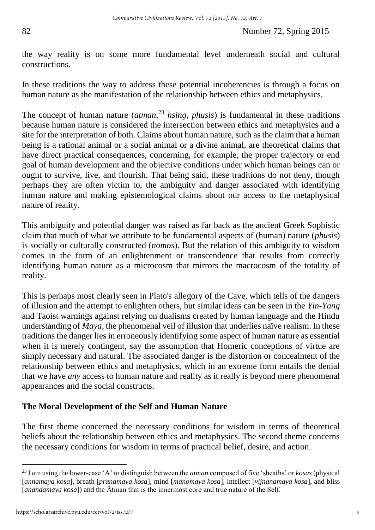the way reality is on some more fundamental level underneath social and cultural constructions.

In these traditions the way to address these potential incoherencies is through a focus on human nature as the manifestation of the relationship between ethics and metaphysics.

The concept of human nature (*atman*, <sup>23</sup> *hsing, phusis*) is fundamental in these traditions because human nature is considered the intersection between ethics and metaphysics and a site for the interpretation of both. Claims about human nature, such as the claim that a human being is a rational animal or a social animal or a divine animal, are theoretical claims that have direct practical consequences, concerning, for example, the proper trajectory or end goal of human development and the objective conditions under which human beings can or ought to survive, live, and flourish. That being said, these traditions do not deny, though perhaps they are often victim to, the ambiguity and danger associated with identifying human nature and making epistemological claims about our access to the metaphysical nature of reality.

This ambiguity and potential danger was raised as far back as the ancient Greek Sophistic claim that much of what we attribute to be fundamental aspects of (human) nature (*phusis*) is socially or culturally constructed (*nomos*). But the relation of this ambiguity to wisdom comes in the form of an enlightenment or transcendence that results from correctly identifying human nature as a microcosm that mirrors the macrocosm of the totality of reality.

This is perhaps most clearly seen in Plato's allegory of the Cave, which tells of the dangers of illusion and the attempt to enlighten others, but similar ideas can be seen in the *Yin*-*Yang* and Taoist warnings against relying on dualisms created by human language and the Hindu understanding of *Maya,* the phenomenal veil of illusion that underlies naïve realism. In these traditions the danger lies in erroneously identifying some aspect of human nature as essential when it is merely contingent, say the assumption that Homeric conceptions of virtue are simply necessary and natural. The associated danger is the distortion or concealment of the relationship between ethics and metaphysics, which in an extreme form entails the denial that we have *any* access to human nature and reality as it really is beyond mere phenomenal appearances and the social constructs.

# **The Moral Development of the Self and Human Nature**

The first theme concerned the necessary conditions for wisdom in terms of theoretical beliefs about the relationship between ethics and metaphysics. The second theme concerns the necessary conditions for wisdom in terms of practical belief, desire, and action.

<sup>23</sup> I am using the lower-case 'A' to distinguish between the *atman* composed of five 'sheaths' or *kosas* (physical [*annamaya kosa*], breath [*pranamaya kosa*], mind [*manomaya kosa*], intellect [*vijnanamaya kosa*], and bliss [*anandamaya kosa*]) and the Ātman that is the innermost core and true nature of the Self.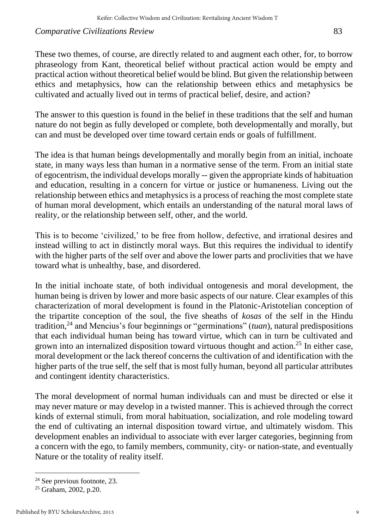These two themes, of course, are directly related to and augment each other, for, to borrow phraseology from Kant, theoretical belief without practical action would be empty and practical action without theoretical belief would be blind. But given the relationship between ethics and metaphysics, how can the relationship between ethics and metaphysics be cultivated and actually lived out in terms of practical belief, desire, and action?

The answer to this question is found in the belief in these traditions that the self and human nature do not begin as fully developed or complete, both developmentally and morally, but can and must be developed over time toward certain ends or goals of fulfillment.

The idea is that human beings developmentally and morally begin from an initial, inchoate state, in many ways less than human in a normative sense of the term. From an initial state of egocentrism, the individual develops morally -- given the appropriate kinds of habituation and education, resulting in a concern for virtue or justice or humaneness. Living out the relationship between ethics and metaphysics is a process of reaching the most complete state of human moral development, which entails an understanding of the natural moral laws of reality, or the relationship between self, other, and the world.

This is to become 'civilized,' to be free from hollow, defective, and irrational desires and instead willing to act in distinctly moral ways. But this requires the individual to identify with the higher parts of the self over and above the lower parts and proclivities that we have toward what is unhealthy, base, and disordered.

In the initial inchoate state, of both individual ontogenesis and moral development, the human being is driven by lower and more basic aspects of our nature. Clear examples of this characterization of moral development is found in the Platonic-Aristotelian conception of the tripartite conception of the soul, the five sheaths of *kosas* of the self in the Hindu tradition,<sup>24</sup> and Mencius's four beginnings or "germinations" (*tuan*), natural predispositions that each individual human being has toward virtue, which can in turn be cultivated and grown into an internalized disposition toward virtuous thought and action.<sup>25</sup> In either case, moral development or the lack thereof concerns the cultivation of and identification with the higher parts of the true self, the self that is most fully human, beyond all particular attributes and contingent identity characteristics.

The moral development of normal human individuals can and must be directed or else it may never mature or may develop in a twisted manner. This is achieved through the correct kinds of external stimuli, from moral habituation, socialization, and role modeling toward the end of cultivating an internal disposition toward virtue, and ultimately wisdom. This development enables an individual to associate with ever larger categories, beginning from a concern with the ego, to family members, community, city- or nation-state, and eventually Nature or the totality of reality itself.

<sup>24</sup> See previous footnote, 23.

<sup>25</sup> Graham, 2002, p.20.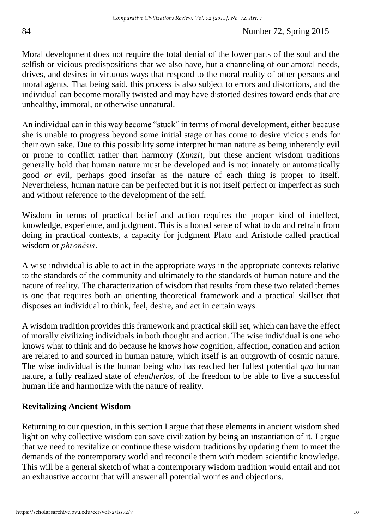Moral development does not require the total denial of the lower parts of the soul and the selfish or vicious predispositions that we also have, but a channeling of our amoral needs, drives, and desires in virtuous ways that respond to the moral reality of other persons and moral agents. That being said, this process is also subject to errors and distortions, and the individual can become morally twisted and may have distorted desires toward ends that are unhealthy, immoral, or otherwise unnatural.

An individual can in this way become "stuck" in terms of moral development, either because she is unable to progress beyond some initial stage or has come to desire vicious ends for their own sake. Due to this possibility some interpret human nature as being inherently evil or prone to conflict rather than harmony (*Xunzi*), but these ancient wisdom traditions generally hold that human nature must be developed and is not innately or automatically good *or* evil, perhaps good insofar as the nature of each thing is proper to itself. Nevertheless, human nature can be perfected but it is not itself perfect or imperfect as such and without reference to the development of the self.

Wisdom in terms of practical belief and action requires the proper kind of intellect, knowledge, experience, and judgment. This is a honed sense of what to do and refrain from doing in practical contexts, a capacity for judgment Plato and Aristotle called practical wisdom or *phronēsis*.

A wise individual is able to act in the appropriate ways in the appropriate contexts relative to the standards of the community and ultimately to the standards of human nature and the nature of reality. The characterization of wisdom that results from these two related themes is one that requires both an orienting theoretical framework and a practical skillset that disposes an individual to think, feel, desire, and act in certain ways.

A wisdom tradition provides this framework and practical skill set, which can have the effect of morally civilizing individuals in both thought and action. The wise individual is one who knows what to think and do because he knows how cognition, affection, conation and action are related to and sourced in human nature, which itself is an outgrowth of cosmic nature. The wise individual is the human being who has reached her fullest potential *qua* human nature, a fully realized state of *eleutherios*, of the freedom to be able to live a successful human life and harmonize with the nature of reality.

# **Revitalizing Ancient Wisdom**

Returning to our question, in this section I argue that these elements in ancient wisdom shed light on why collective wisdom can save civilization by being an instantiation of it. I argue that we need to revitalize or continue these wisdom traditions by updating them to meet the demands of the contemporary world and reconcile them with modern scientific knowledge. This will be a general sketch of what a contemporary wisdom tradition would entail and not an exhaustive account that will answer all potential worries and objections.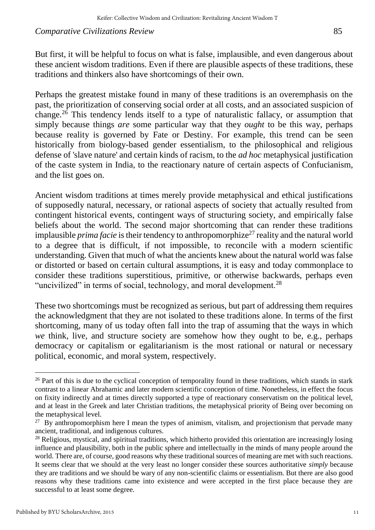But first, it will be helpful to focus on what is false, implausible, and even dangerous about these ancient wisdom traditions. Even if there are plausible aspects of these traditions, these traditions and thinkers also have shortcomings of their own.

Perhaps the greatest mistake found in many of these traditions is an overemphasis on the past, the prioritization of conserving social order at all costs, and an associated suspicion of change.<sup>26</sup> This tendency lends itself to a type of naturalistic fallacy, or assumption that simply because things *are* some particular way that they *ought* to be this way, perhaps because reality is governed by Fate or Destiny. For example, this trend can be seen historically from biology-based gender essentialism, to the philosophical and religious defense of 'slave nature' and certain kinds of racism, to the *ad hoc* metaphysical justification of the caste system in India, to the reactionary nature of certain aspects of Confucianism, and the list goes on.

Ancient wisdom traditions at times merely provide metaphysical and ethical justifications of supposedly natural, necessary, or rational aspects of society that actually resulted from contingent historical events, contingent ways of structuring society, and empirically false beliefs about the world. The second major shortcoming that can render these traditions implausible *prima facie* is their tendency to anthropomorphize<sup>27</sup> reality and the natural world to a degree that is difficult, if not impossible, to reconcile with a modern scientific understanding. Given that much of what the ancients knew about the natural world was false or distorted or based on certain cultural assumptions, it is easy and today commonplace to consider these traditions superstitious, primitive, or otherwise backwards, perhaps even "uncivilized" in terms of social, technology, and moral development.<sup>28</sup>

These two shortcomings must be recognized as serious, but part of addressing them requires the acknowledgment that they are not isolated to these traditions alone. In terms of the first shortcoming, many of us today often fall into the trap of assuming that the ways in which *we* think, live, and structure society are somehow how they ought to be, e.g., perhaps democracy or capitalism or egalitarianism is the most rational or natural or necessary political, economic, and moral system, respectively.

<sup>&</sup>lt;sup>26</sup> Part of this is due to the cyclical conception of temporality found in these traditions, which stands in stark contrast to a linear Abrahamic and later modern scientific conception of time. Nonetheless, in effect the focus on fixity indirectly and at times directly supported a type of reactionary conservatism on the political level, and at least in the Greek and later Christian traditions, the metaphysical priority of Being over becoming on the metaphysical level.

 $27$  By anthropomorphism here I mean the types of animism, vitalism, and projectionism that pervade many ancient, traditional, and indigenous cultures.

<sup>&</sup>lt;sup>28</sup> Religious, mystical, and spiritual traditions, which hitherto provided this orientation are increasingly losing influence and plausibility, both in the public sphere and intellectually in the minds of many people around the world. There are, of course, good reasons why these traditional sources of meaning are met with such reactions. It seems clear that we should at the very least no longer consider these sources authoritative *simply* because they are traditions and we should be wary of any non-scientific claims or essentialism. But there are also good reasons why these traditions came into existence and were accepted in the first place because they are successful to at least some degree.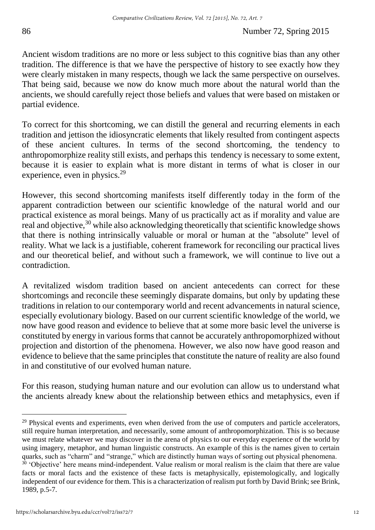Ancient wisdom traditions are no more or less subject to this cognitive bias than any other tradition. The difference is that we have the perspective of history to see exactly how they were clearly mistaken in many respects, though we lack the same perspective on ourselves. That being said, because we now do know much more about the natural world than the ancients, we should carefully reject those beliefs and values that were based on mistaken or partial evidence.

To correct for this shortcoming, we can distill the general and recurring elements in each tradition and jettison the idiosyncratic elements that likely resulted from contingent aspects of these ancient cultures. In terms of the second shortcoming, the tendency to anthropomorphize reality still exists, and perhaps this tendency is necessary to some extent, because it is easier to explain what is more distant in terms of what is closer in our experience, even in physics.<sup>29</sup>

However, this second shortcoming manifests itself differently today in the form of the apparent contradiction between our scientific knowledge of the natural world and our practical existence as moral beings. Many of us practically act as if morality and value are real and objective,<sup>30</sup> while also acknowledging theoretically that scientific knowledge shows that there is nothing intrinsically valuable or moral or human at the "absolute" level of reality. What we lack is a justifiable, coherent framework for reconciling our practical lives and our theoretical belief, and without such a framework, we will continue to live out a contradiction.

A revitalized wisdom tradition based on ancient antecedents can correct for these shortcomings and reconcile these seemingly disparate domains, but only by updating these traditions in relation to our contemporary world and recent advancements in natural science, especially evolutionary biology. Based on our current scientific knowledge of the world, we now have good reason and evidence to believe that at some more basic level the universe is constituted by energy in various forms that cannot be accurately anthropomorphized without projection and distortion of the phenomena. However, we also now have good reason and evidence to believe that the same principles that constitute the nature of reality are also found in and constitutive of our evolved human nature.

For this reason, studying human nature and our evolution can allow us to understand what the ancients already knew about the relationship between ethics and metaphysics, even if

 $29$  Physical events and experiments, even when derived from the use of computers and particle accelerators, still require human interpretation, and necessarily, some amount of anthropomorphization. This is so because we must relate whatever we may discover in the arena of physics to our everyday experience of the world by using imagery, metaphor, and human linguistic constructs. An example of this is the names given to certain quarks, such as "charm" and "strange," which are distinctly human ways of sorting out physical phenomena. <sup>30</sup> 'Objective' here means mind-independent. Value realism or moral realism is the claim that there are value facts or moral facts and the existence of these facts is metaphysically, epistemologically, and logically independent of our evidence for them. This is a characterization of realism put forth by David Brink; see Brink, 1989, p.5-7.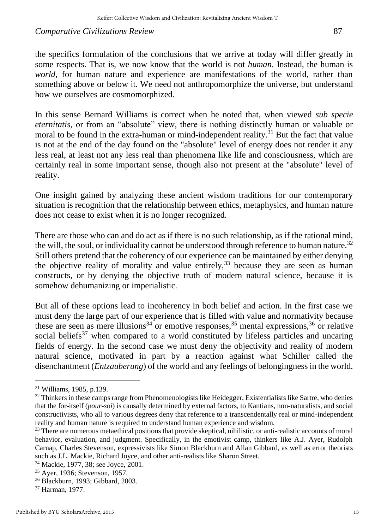the specifics formulation of the conclusions that we arrive at today will differ greatly in some respects. That is, we now know that the world is not *human*. Instead, the human is *world*, for human nature and experience are manifestations of the world, rather than something above or below it. We need not anthropomorphize the universe, but understand how we ourselves are cosmomorphized.

In this sense Bernard Williams is correct when he noted that, when viewed *sub specie eternitatis,* or from an "absolute" view, there is nothing distinctly human or valuable or moral to be found in the extra-human or mind-independent reality. $^{31}$  But the fact that value is not at the end of the day found on the "absolute" level of energy does not render it any less real, at least not any less real than phenomena like life and consciousness, which are certainly real in some important sense, though also not present at the "absolute" level of reality.

One insight gained by analyzing these ancient wisdom traditions for our contemporary situation is recognition that the relationship between ethics, metaphysics, and human nature does not cease to exist when it is no longer recognized.

There are those who can and do act as if there is no such relationship, as if the rational mind, the will, the soul, or individuality cannot be understood through reference to human nature.<sup>32</sup> Still others pretend that the coherency of our experience can be maintained by either denying the objective reality of morality and value entirely,  $33$  because they are seen as human constructs, or by denying the objective truth of modern natural science, because it is somehow dehumanizing or imperialistic.

But all of these options lead to incoherency in both belief and action. In the first case we must deny the large part of our experience that is filled with value and normativity because these are seen as mere illusions<sup>34</sup> or emotive responses,<sup>35</sup> mental expressions,<sup>36</sup> or relative social beliefs<sup>37</sup> when compared to a world constituted by lifeless particles and uncaring fields of energy. In the second case we must deny the objectivity and reality of modern natural science, motivated in part by a reaction against what Schiller called the disenchantment (*Entzauberung*) of the world and any feelings of belongingness in the world.

<sup>31</sup> Williams, 1985, p.139.

<sup>&</sup>lt;sup>32</sup> Thinkers in these camps range from Phenomenologists like Heidegger, Existentialists like Sartre, who denies that the for-itself (*pour-soi*) is causally determined by external factors, to Kantians, non-naturalists, and social constructivists, who all to various degrees deny that reference to a transcendentally real or mind-independent reality and human nature is required to understand human experience and wisdom.

<sup>&</sup>lt;sup>33</sup> There are numerous metaethical positions that provide skeptical, nihilistic, or anti-realistic accounts of moral behavior, evaluation, and judgment. Specifically, in the emotivist camp, thinkers like A.J. Ayer, Rudolph Carnap, Charles Stevenson, expressivists like Simon Blackburn and Allan Gibbard, as well as error theorists such as J.L. Mackie, Richard Joyce, and other anti-realists like Sharon Street.

<sup>34</sup> Mackie, 1977, 38; see Joyce, 2001.

<sup>35</sup> Ayer, 1936; Stevenson, 1957.

<sup>36</sup> Blackburn, 1993; Gibbard, 2003.

<sup>37</sup> Harman, 1977.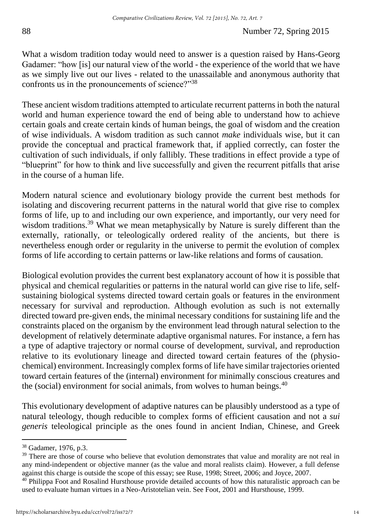What a wisdom tradition today would need to answer is a question raised by Hans-Georg Gadamer: "how [is] our natural view of the world - the experience of the world that we have as we simply live out our lives - related to the unassailable and anonymous authority that confronts us in the pronouncements of science?"<sup>38</sup>

These ancient wisdom traditions attempted to articulate recurrent patterns in both the natural world and human experience toward the end of being able to understand how to achieve certain goals and create certain kinds of human beings, the goal of wisdom and the creation of wise individuals. A wisdom tradition as such cannot *make* individuals wise, but it can provide the conceptual and practical framework that, if applied correctly, can foster the cultivation of such individuals, if only fallibly. These traditions in effect provide a type of "blueprint" for how to think and live successfully and given the recurrent pitfalls that arise in the course of a human life.

Modern natural science and evolutionary biology provide the current best methods for isolating and discovering recurrent patterns in the natural world that give rise to complex forms of life, up to and including our own experience, and importantly, our very need for wisdom traditions.<sup>39</sup> What we mean metaphysically by Nature is surely different than the externally, rationally, or teleologically ordered reality of the ancients, but there is nevertheless enough order or regularity in the universe to permit the evolution of complex forms of life according to certain patterns or law-like relations and forms of causation.

Biological evolution provides the current best explanatory account of how it is possible that physical and chemical regularities or patterns in the natural world can give rise to life, selfsustaining biological systems directed toward certain goals or features in the environment necessary for survival and reproduction. Although evolution as such is not externally directed toward pre-given ends, the minimal necessary conditions for sustaining life and the constraints placed on the organism by the environment lead through natural selection to the development of relatively determinate adaptive organismal natures. For instance, a fern has a type of adaptive trajectory or normal course of development, survival, and reproduction relative to its evolutionary lineage and directed toward certain features of the (physiochemical) environment. Increasingly complex forms of life have similar trajectories oriented toward certain features of the (internal) environment for minimally conscious creatures and the (social) environment for social animals, from wolves to human beings.<sup>40</sup>

This evolutionary development of adaptive natures can be plausibly understood as a type of natural teleology, though reducible to complex forms of efficient causation and not a *sui generis* teleological principle as the ones found in ancient Indian, Chinese, and Greek

<sup>38</sup> Gadamer, 1976, p.3.

<sup>&</sup>lt;sup>39</sup> There are those of course who believe that evolution demonstrates that value and morality are not real in any mind-independent or objective manner (as the value and moral realists claim). However, a full defense against this charge is outside the scope of this essay; see Ruse, 1998; Street, 2006; and Joyce, 2007.

<sup>&</sup>lt;sup>40</sup> Philippa Foot and Rosalind Hursthouse provide detailed accounts of how this naturalistic approach can be used to evaluate human virtues in a Neo-Aristotelian vein. See Foot, 2001 and Hursthouse, 1999.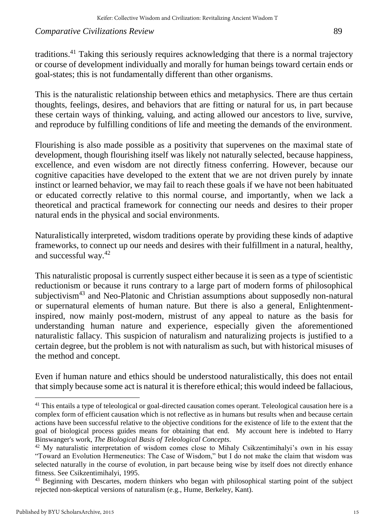traditions.<sup>41</sup> Taking this seriously requires acknowledging that there is a normal trajectory or course of development individually and morally for human beings toward certain ends or goal-states; this is not fundamentally different than other organisms.

This is the naturalistic relationship between ethics and metaphysics. There are thus certain thoughts, feelings, desires, and behaviors that are fitting or natural for us, in part because these certain ways of thinking, valuing, and acting allowed our ancestors to live, survive, and reproduce by fulfilling conditions of life and meeting the demands of the environment.

Flourishing is also made possible as a positivity that supervenes on the maximal state of development, though flourishing itself was likely not naturally selected, because happiness, excellence, and even wisdom are not directly fitness conferring. However, because our cognitive capacities have developed to the extent that we are not driven purely by innate instinct or learned behavior, we may fail to reach these goals if we have not been habituated or educated correctly relative to this normal course, and importantly, when we lack a theoretical and practical framework for connecting our needs and desires to their proper natural ends in the physical and social environments.

Naturalistically interpreted, wisdom traditions operate by providing these kinds of adaptive frameworks, to connect up our needs and desires with their fulfillment in a natural, healthy, and successful way.<sup>42</sup>

This naturalistic proposal is currently suspect either because it is seen as a type of scientistic reductionism or because it runs contrary to a large part of modern forms of philosophical subjectivism<sup>43</sup> and Neo-Platonic and Christian assumptions about supposedly non-natural or supernatural elements of human nature. But there is also a general, Enlightenmentinspired, now mainly post-modern, mistrust of any appeal to nature as the basis for understanding human nature and experience, especially given the aforementioned naturalistic fallacy. This suspicion of naturalism and naturalizing projects is justified to a certain degree, but the problem is not with naturalism as such, but with historical misuses of the method and concept.

Even if human nature and ethics should be understood naturalistically, this does not entail that simply because some act is natural it is therefore ethical; this would indeed be fallacious,

<sup>&</sup>lt;sup>41</sup> This entails a type of teleological or goal-directed causation comes operant. Teleological causation here is a complex form of efficient causation which is not reflective as in humans but results when and because certain actions have been successful relative to the objective conditions for the existence of life to the extent that the goal of biological process guides means for obtaining that end. My account here is indebted to Harry Binswanger's work, *The Biological Basis of Teleological Concepts*.

<sup>&</sup>lt;sup>42</sup> My naturalistic interpretation of wisdom comes close to Mihaly Csikzentimihalyi's own in his essay "Toward an Evolution Hermeneutics: The Case of Wisdom," but I do not make the claim that wisdom was selected naturally in the course of evolution, in part because being wise by itself does not directly enhance fitness. See Csikzentimihalyi, 1995.

<sup>&</sup>lt;sup>43</sup> Beginning with Descartes, modern thinkers who began with philosophical starting point of the subject rejected non-skeptical versions of naturalism (e.g., Hume, Berkeley, Kant).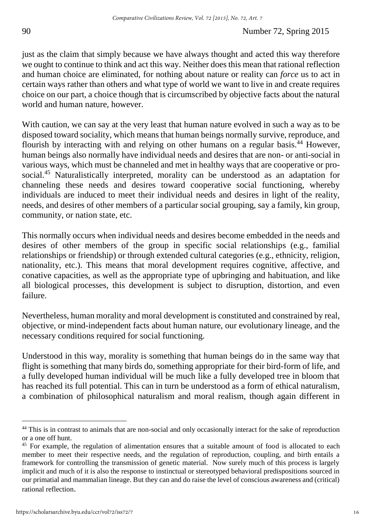just as the claim that simply because we have always thought and acted this way therefore we ought to continue to think and act this way. Neither does this mean that rational reflection and human choice are eliminated, for nothing about nature or reality can *force* us to act in certain ways rather than others and what type of world we want to live in and create requires choice on our part, a choice though that is circumscribed by objective facts about the natural world and human nature, however.

With caution, we can say at the very least that human nature evolved in such a way as to be disposed toward sociality, which means that human beings normally survive, reproduce, and flourish by interacting with and relying on other humans on a regular basis.<sup>44</sup> However, human beings also normally have individual needs and desires that are non- or anti-social in various ways, which must be channeled and met in healthy ways that are cooperative or prosocial.<sup>45</sup> Naturalistically interpreted, morality can be understood as an adaptation for channeling these needs and desires toward cooperative social functioning, whereby individuals are induced to meet their individual needs and desires in light of the reality, needs, and desires of other members of a particular social grouping, say a family, kin group, community, or nation state, etc.

This normally occurs when individual needs and desires become embedded in the needs and desires of other members of the group in specific social relationships (e.g., familial relationships or friendship) or through extended cultural categories (e.g., ethnicity, religion, nationality, etc.). This means that moral development requires cognitive, affective, and conative capacities, as well as the appropriate type of upbringing and habituation, and like all biological processes, this development is subject to disruption, distortion, and even failure.

Nevertheless, human morality and moral development is constituted and constrained by real, objective, or mind-independent facts about human nature, our evolutionary lineage, and the necessary conditions required for social functioning.

Understood in this way, morality is something that human beings do in the same way that flight is something that many birds do, something appropriate for their bird-form of life, and a fully developed human individual will be much like a fully developed tree in bloom that has reached its full potential. This can in turn be understood as a form of ethical naturalism, a combination of philosophical naturalism and moral realism, though again different in

<sup>&</sup>lt;sup>44</sup> This is in contrast to animals that are non-social and only occasionally interact for the sake of reproduction or a one off hunt.

<sup>&</sup>lt;sup>45</sup> For example, the regulation of alimentation ensures that a suitable amount of food is allocated to each member to meet their respective needs, and the regulation of reproduction, coupling, and birth entails a framework for controlling the transmission of genetic material. Now surely much of this process is largely implicit and much of it is also the response to instinctual or stereotyped behavioral predispositions sourced in our primatial and mammalian lineage. But they can and do raise the level of conscious awareness and (critical) rational reflection.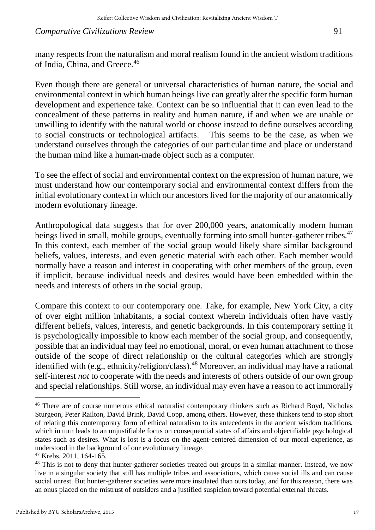many respects from the naturalism and moral realism found in the ancient wisdom traditions of India, China, and Greece.<sup>46</sup>

Even though there are general or universal characteristics of human nature, the social and environmental context in which human beings live can greatly alter the specific form human development and experience take. Context can be so influential that it can even lead to the concealment of these patterns in reality and human nature, if and when we are unable or unwilling to identify with the natural world or choose instead to define ourselves according to social constructs or technological artifacts. This seems to be the case, as when we understand ourselves through the categories of our particular time and place or understand the human mind like a human-made object such as a computer.

To see the effect of social and environmental context on the expression of human nature, we must understand how our contemporary social and environmental context differs from the initial evolutionary context in which our ancestors lived for the majority of our anatomically modern evolutionary lineage.

Anthropological data suggests that for over 200,000 years, anatomically modern human beings lived in small, mobile groups, eventually forming into small hunter-gatherer tribes.<sup>47</sup> In this context, each member of the social group would likely share similar background beliefs, values, interests, and even genetic material with each other. Each member would normally have a reason and interest in cooperating with other members of the group, even if implicit, because individual needs and desires would have been embedded within the needs and interests of others in the social group.

Compare this context to our contemporary one. Take, for example, New York City, a city of over eight million inhabitants, a social context wherein individuals often have vastly different beliefs, values, interests, and genetic backgrounds. In this contemporary setting it is psychologically impossible to know each member of the social group, and consequently, possible that an individual may feel no emotional, moral, or even human attachment to those outside of the scope of direct relationship or the cultural categories which are strongly identified with (e.g., ethnicity/religion/class).<sup>48</sup> Moreover, an individual may have a rational self-interest *not* to cooperate with the needs and interests of others outside of our own group and special relationships. Still worse, an individual may even have a reason to act immorally

<sup>46</sup> There are of course numerous ethical naturalist contemporary thinkers such as Richard Boyd, Nicholas Sturgeon, Peter Railton, David Brink, David Copp, among others. However, these thinkers tend to stop short of relating this contemporary form of ethical naturalism to its antecedents in the ancient wisdom traditions, which in turn leads to an unjustifiable focus on consequential states of affairs and objectifiable psychological states such as desires. What is lost is a focus on the agent-centered dimension of our moral experience, as understood in the background of our evolutionary lineage.

<sup>47</sup> Krebs, 2011, 164-165.

<sup>&</sup>lt;sup>48</sup> This is not to deny that hunter-gatherer societies treated out-groups in a similar manner. Instead, we now live in a singular society that still has multiple tribes and associations, which cause social ills and can cause social unrest. But hunter-gatherer societies were more insulated than ours today, and for this reason, there was an onus placed on the mistrust of outsiders and a justified suspicion toward potential external threats.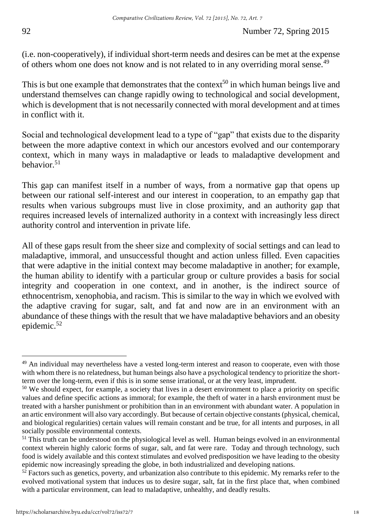(i.e. non-cooperatively), if individual short-term needs and desires can be met at the expense of others whom one does not know and is not related to in any overriding moral sense.<sup>49</sup>

This is but one example that demonstrates that the context<sup>50</sup> in which human beings live and understand themselves can change rapidly owing to technological and social development, which is development that is not necessarily connected with moral development and at times in conflict with it.

Social and technological development lead to a type of "gap" that exists due to the disparity between the more adaptive context in which our ancestors evolved and our contemporary context, which in many ways in maladaptive or leads to maladaptive development and behavior.<sup>51</sup>

This gap can manifest itself in a number of ways, from a normative gap that opens up between our rational self-interest and our interest in cooperation, to an empathy gap that results when various subgroups must live in close proximity, and an authority gap that requires increased levels of internalized authority in a context with increasingly less direct authority control and intervention in private life.

All of these gaps result from the sheer size and complexity of social settings and can lead to maladaptive, immoral, and unsuccessful thought and action unless filled. Even capacities that were adaptive in the initial context may become maladaptive in another; for example, the human ability to identify with a particular group or culture provides a basis for social integrity and cooperation in one context, and in another, is the indirect source of ethnocentrism, xenophobia, and racism. This is similar to the way in which we evolved with the adaptive craving for sugar, salt, and fat and now are in an environment with an abundance of these things with the result that we have maladaptive behaviors and an obesity epidemic.<sup>52</sup>

 $\overline{a}$  $49$  An individual may nevertheless have a vested long-term interest and reason to cooperate, even with those with whom there is no relatedness, but human beings also have a psychological tendency to prioritize the shortterm over the long-term, even if this is in some sense irrational, or at the very least, imprudent.

<sup>&</sup>lt;sup>50</sup> We should expect, for example, a society that lives in a desert environment to place a priority on specific values and define specific actions as immoral; for example, the theft of water in a harsh environment must be treated with a harsher punishment or prohibition than in an environment with abundant water. A population in an artic environment will also vary accordingly. But because of certain objective constants (physical, chemical, and biological regularities) certain values will remain constant and be true, for all intents and purposes, in all socially possible environmental contexts.

<sup>&</sup>lt;sup>51</sup> This truth can be understood on the physiological level as well. Human beings evolved in an environmental context wherein highly caloric forms of sugar, salt, and fat were rare. Today and through technology, such food is widely available and this context stimulates and evolved predisposition we have leading to the obesity epidemic now increasingly spreading the globe, in both industrialized and developing nations.

 $52$  Factors such as genetics, poverty, and urbanization also contribute to this epidemic. My remarks refer to the evolved motivational system that induces us to desire sugar, salt, fat in the first place that, when combined with a particular environment, can lead to maladaptive, unhealthy, and deadly results.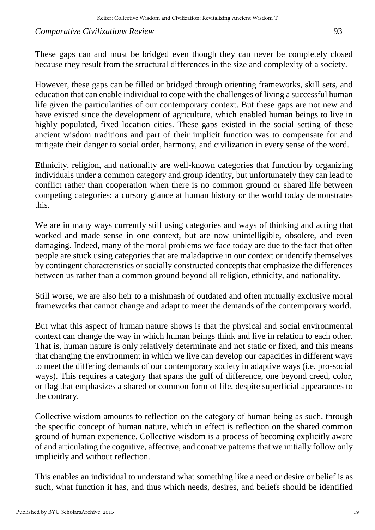These gaps can and must be bridged even though they can never be completely closed because they result from the structural differences in the size and complexity of a society.

However, these gaps can be filled or bridged through orienting frameworks, skill sets, and education that can enable individual to cope with the challenges of living a successful human life given the particularities of our contemporary context. But these gaps are not new and have existed since the development of agriculture, which enabled human beings to live in highly populated, fixed location cities. These gaps existed in the social setting of these ancient wisdom traditions and part of their implicit function was to compensate for and mitigate their danger to social order, harmony, and civilization in every sense of the word.

Ethnicity, religion, and nationality are well-known categories that function by organizing individuals under a common category and group identity, but unfortunately they can lead to conflict rather than cooperation when there is no common ground or shared life between competing categories; a cursory glance at human history or the world today demonstrates this.

We are in many ways currently still using categories and ways of thinking and acting that worked and made sense in one context, but are now unintelligible, obsolete, and even damaging. Indeed, many of the moral problems we face today are due to the fact that often people are stuck using categories that are maladaptive in our context or identify themselves by contingent characteristics or socially constructed concepts that emphasize the differences between us rather than a common ground beyond all religion, ethnicity, and nationality.

Still worse, we are also heir to a mishmash of outdated and often mutually exclusive moral frameworks that cannot change and adapt to meet the demands of the contemporary world.

But what this aspect of human nature shows is that the physical and social environmental context can change the way in which human beings think and live in relation to each other. That is, human nature is only relatively determinate and not static or fixed, and this means that changing the environment in which we live can develop our capacities in different ways to meet the differing demands of our contemporary society in adaptive ways (i.e. pro-social ways). This requires a category that spans the gulf of difference, one beyond creed, color, or flag that emphasizes a shared or common form of life, despite superficial appearances to the contrary.

Collective wisdom amounts to reflection on the category of human being as such, through the specific concept of human nature, which in effect is reflection on the shared common ground of human experience. Collective wisdom is a process of becoming explicitly aware of and articulating the cognitive, affective, and conative patterns that we initially follow only implicitly and without reflection.

This enables an individual to understand what something like a need or desire or belief is as such, what function it has, and thus which needs, desires, and beliefs should be identified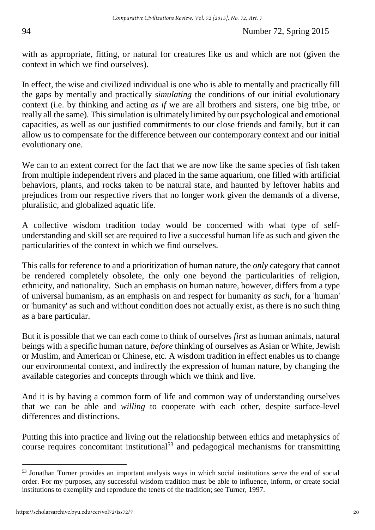with as appropriate, fitting, or natural for creatures like us and which are not (given the context in which we find ourselves).

In effect, the wise and civilized individual is one who is able to mentally and practically fill the gaps by mentally and practically *simulating* the conditions of our initial evolutionary context (i.e. by thinking and acting *as if* we are all brothers and sisters, one big tribe, or really all the same). This simulation is ultimately limited by our psychological and emotional capacities, as well as our justified commitments to our close friends and family, but it can allow us to compensate for the difference between our contemporary context and our initial evolutionary one.

We can to an extent correct for the fact that we are now like the same species of fish taken from multiple independent rivers and placed in the same aquarium, one filled with artificial behaviors, plants, and rocks taken to be natural state, and haunted by leftover habits and prejudices from our respective rivers that no longer work given the demands of a diverse, pluralistic, and globalized aquatic life.

A collective wisdom tradition today would be concerned with what type of selfunderstanding and skill set are required to live a successful human life as such and given the particularities of the context in which we find ourselves.

This calls for reference to and a prioritization of human nature, the *only* category that cannot be rendered completely obsolete, the only one beyond the particularities of religion, ethnicity, and nationality. Such an emphasis on human nature, however, differs from a type of universal humanism, as an emphasis on and respect for humanity *as such*, for a 'human' or 'humanity' as such and without condition does not actually exist, as there is no such thing as a bare particular.

But it is possible that we can each come to think of ourselves *first* as human animals, natural beings with a specific human nature, *before* thinking of ourselves as Asian or White, Jewish or Muslim, and American or Chinese, etc. A wisdom tradition in effect enables us to change our environmental context, and indirectly the expression of human nature, by changing the available categories and concepts through which we think and live.

And it is by having a common form of life and common way of understanding ourselves that we can be able and *willing* to cooperate with each other, despite surface-level differences and distinctions.

Putting this into practice and living out the relationship between ethics and metaphysics of course requires concomitant institutional<sup>53</sup> and pedagogical mechanisms for transmitting

<sup>53</sup> Jonathan Turner provides an important analysis ways in which social institutions serve the end of social order. For my purposes, any successful wisdom tradition must be able to influence, inform, or create social institutions to exemplify and reproduce the tenets of the tradition; see Turner, 1997.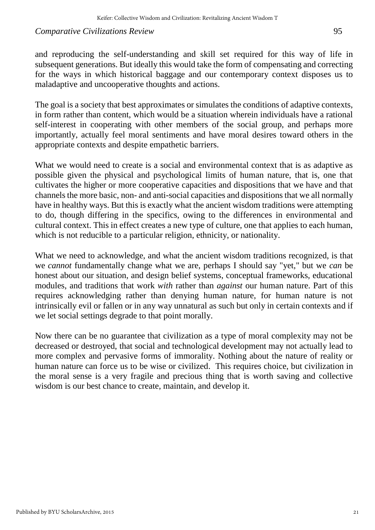and reproducing the self-understanding and skill set required for this way of life in subsequent generations. But ideally this would take the form of compensating and correcting for the ways in which historical baggage and our contemporary context disposes us to maladaptive and uncooperative thoughts and actions.

The goal is a society that best approximates or simulates the conditions of adaptive contexts, in form rather than content, which would be a situation wherein individuals have a rational self-interest in cooperating with other members of the social group, and perhaps more importantly, actually feel moral sentiments and have moral desires toward others in the appropriate contexts and despite empathetic barriers.

What we would need to create is a social and environmental context that is as adaptive as possible given the physical and psychological limits of human nature, that is, one that cultivates the higher or more cooperative capacities and dispositions that we have and that channels the more basic, non- and anti-social capacities and dispositions that we all normally have in healthy ways. But this is exactly what the ancient wisdom traditions were attempting to do, though differing in the specifics, owing to the differences in environmental and cultural context. This in effect creates a new type of culture, one that applies to each human, which is not reducible to a particular religion, ethnicity, or nationality.

What we need to acknowledge, and what the ancient wisdom traditions recognized, is that we *cannot* fundamentally change what we are, perhaps I should say "yet," but we *can* be honest about our situation, and design belief systems, conceptual frameworks, educational modules, and traditions that work *with* rather than *against* our human nature. Part of this requires acknowledging rather than denying human nature, for human nature is not intrinsically evil or fallen or in any way unnatural as such but only in certain contexts and if we let social settings degrade to that point morally.

Now there can be no guarantee that civilization as a type of moral complexity may not be decreased or destroyed, that social and technological development may not actually lead to more complex and pervasive forms of immorality. Nothing about the nature of reality or human nature can force us to be wise or civilized. This requires choice, but civilization in the moral sense is a very fragile and precious thing that is worth saving and collective wisdom is our best chance to create, maintain, and develop it.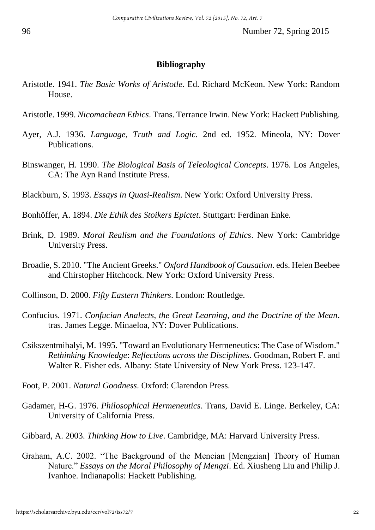## **Bibliography**

- Aristotle. 1941. *The Basic Works of Aristotle*. Ed. Richard McKeon. New York: Random House.
- Aristotle. 1999. *Nicomachean Ethics*. Trans. Terrance Irwin. New York: Hackett Publishing.
- Ayer, A.J. 1936. *Language, Truth and Logic*. 2nd ed. 1952. Mineola, NY: Dover Publications.
- Binswanger, H. 1990. *The Biological Basis of Teleological Concepts*. 1976. Los Angeles, CA: The Ayn Rand Institute Press.

Blackburn, S. 1993. *Essays in Quasi-Realism*. New York: Oxford University Press.

- Bonhöffer, A. 1894. *Die Ethik des Stoikers Epictet*. Stuttgart: Ferdinan Enke.
- Brink, D. 1989. *Moral Realism and the Foundations of Ethics*. New York: Cambridge University Press.
- Broadie, S. 2010. "The Ancient Greeks." *Oxford Handbook of Causation*. eds. Helen Beebee and Chirstopher Hitchcock. New York: Oxford University Press.
- Collinson, D. 2000. *Fifty Eastern Thinkers*. London: Routledge.
- Confucius. 1971. *Confucian Analects, the Great Learning, and the Doctrine of the Mean*. tras. James Legge. Minaeloa, NY: Dover Publications.
- Csikszentmihalyi, M. 1995. "Toward an Evolutionary Hermeneutics: The Case of Wisdom." *Rethinking Knowledge*: *Reflections across the Disciplines*. Goodman, Robert F. and Walter R. Fisher eds. Albany: State University of New York Press. 123-147.
- Foot, P. 2001. *Natural Goodness*. Oxford: Clarendon Press.
- Gadamer, H-G. 1976. *Philosophical Hermeneutics*. Trans, David E. Linge. Berkeley, CA: University of California Press.
- Gibbard, A. 2003. *Thinking How to Live*. Cambridge, MA: Harvard University Press.
- Graham, A.C. 2002. "The Background of the Mencian [Mengzian] Theory of Human Nature." *Essays on the Moral Philosophy of Mengzi*. Ed. Xiusheng Liu and Philip J. Ivanhoe. Indianapolis: Hackett Publishing.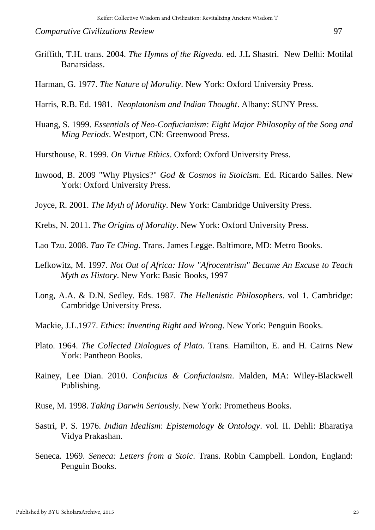- Griffith, T.H. trans. 2004. *The Hymns of the Rigveda*. ed. J.L Shastri. New Delhi: Motilal Banarsidass.
- Harman, G. 1977. *The Nature of Morality*. New York: Oxford University Press.
- Harris, R.B. Ed. 1981. *Neoplatonism and Indian Thought*. Albany: SUNY Press.
- Huang, S. 1999. *Essentials of Neo-Confucianism: Eight Major Philosophy of the Song and Ming Periods*. Westport, CN: Greenwood Press.
- Hursthouse, R. 1999. *On Virtue Ethics*. Oxford: Oxford University Press.
- Inwood, B. 2009 "Why Physics?" *God & Cosmos in Stoicism*. Ed. Ricardo Salles. New York: Oxford University Press.
- Joyce, R. 2001. *The Myth of Morality*. New York: Cambridge University Press.
- Krebs, N. 2011. *The Origins of Morality*. New York: Oxford University Press.
- Lao Tzu. 2008. *Tao Te Ching*. Trans. James Legge. Baltimore, MD: Metro Books.
- Lefkowitz, M. 1997. *Not Out of Africa: How "Afrocentrism" Became An Excuse to Teach Myth as History*. New York: Basic Books, 1997
- Long, A.A. & D.N. Sedley. Eds. 1987. *The Hellenistic Philosophers*. vol 1. Cambridge: Cambridge University Press.
- Mackie, J.L.1977. *Ethics: Inventing Right and Wrong*. New York: Penguin Books.
- Plato. 1964. *The Collected Dialogues of Plato.* Trans. Hamilton, E. and H. Cairns New York: Pantheon Books.
- Rainey, Lee Dian. 2010. *Confucius & Confucianism*. Malden, MA: Wiley-Blackwell Publishing.
- Ruse, M. 1998. *Taking Darwin Seriously*. New York: Prometheus Books.
- Sastri, P. S*.* 1976. *Indian Idealism*: *Epistemology & Ontology*. vol. II. Dehli: Bharatiya Vidya Prakashan.
- Seneca. 1969. *Seneca: Letters from a Stoic*. Trans. Robin Campbell. London, England: Penguin Books.